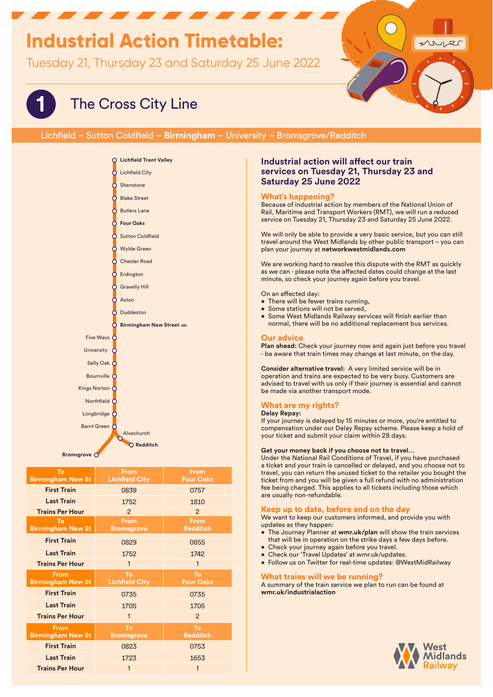# **Industrial Action Timetable:**

Tuesday 21, Thursday 23 and Saturday 25 June 2022



# **1** The Cross City Line

# Lichfield – Sutton Coldfield – **Birmingham** – University – Bromsgrove/Redditch



| To<br><b>Birmingham New St</b>   | <b>From</b><br><b>Lichfield City</b> | <b>From</b><br><b>Four Oaks</b> |
|----------------------------------|--------------------------------------|---------------------------------|
| <b>First Train</b>               | 0839                                 | 0757                            |
| <b>Last Train</b>                | 1752                                 | 1810                            |
| <b>Trains Per Hour</b>           | 2                                    | $\mathcal{P}$                   |
| To<br><b>Birmingham New St</b>   | <b>From</b><br><b>Bromsgrove</b>     | <b>From</b><br><b>Redditch</b>  |
| <b>First Train</b>               | 0829                                 | 0855                            |
| <b>Last Train</b>                | 1752                                 | 1742                            |
| <b>Trains Per Hour</b>           | 1                                    | $\mathbf{1}$                    |
|                                  |                                      |                                 |
| Erom<br><b>Birmingham New St</b> | To<br><b>Lichfield City</b>          | To<br><b>Four Oaks</b>          |
| <b>First Train</b>               | 0735                                 | 0735                            |
| <b>Last Train</b>                | 1705                                 | 1705                            |
| <b>Trains Per Hour</b>           | $\mathbf{1}$                         | 2                               |
| From<br><b>Birmingham New St</b> | To<br><b>Bromsgrove</b>              | To<br><b>Redditch</b>           |
| <b>First Train</b>               | 0823                                 | 0753                            |
| <b>Last Train</b>                | 1723                                 | 1653                            |

## **Industrial action will affect our train services on Tuesday 21, Thursday 23 and Saturday 25 June 2022**

## **What's happening?**

Because of industrial action by members of the National Union of Rail, Maritime and Transport Workers (RMT), we will run a reduced service on Tuesday 21, Thursday 23 and Saturday 25 June 2022.

We will only be able to provide a very basic service, but you can still travel around the West Midlands by other public transport – you can plan your journey at **networkwestmidlands.com**

We are working hard to resolve this dispute with the RMT as quickly as we can - please note the affected dates could change at the last minute, so check your journey again before you travel.

On an affected day:

- There will be fewer trains running,
- Some stations will not be served,
- Some West Midlands Railway services will finish earlier than normal, there will be no additional replacement bus services.

#### **Our advice**

**Plan ahead:** Check your journey now and again just before you travel - be aware that train times may change at last minute, on the day.

**Consider alternative travel:** A very limited service will be in operation and trains are expected to be very busy. Customers are advised to travel with us only if their journey is essential and cannot be made via another transport mode.

## **What are my rights?**

#### **Delay Repay:**

If your journey is delayed by 15 minutes or more, you're entitled to compensation under our Delay Repay scheme. Please keep a hold of your ticket and submit your claim within 28 days.

#### **Get your money back if you choose not to travel…**

Under the National Rail Conditions of Travel, if you have purchased a ticket and your train is cancelled or delayed, and you choose not to travel, you can return the unused ticket to the retailer you bought the ticket from and you will be given a full refund with no administration fee being charged. This applies to all tickets including those which are usually non-refundable.

#### **Keep up to date, before and on the day**

We want to keep our customers informed, and provide you with updates as they happen:

- The Journey Planner at **wmr.uk/plan** will show the train services that will be in operation on the strike days a few days before.
- Check your journey again before you travel.
- Check our 'Travel Updates' at wmr.uk/updates.
- Follow us on Twitter for real-time updates: @WestMidRailway

### **What trains will we be running?**

A summary of the train service we plan to run can be found at **wmr.uk/industrialaction**